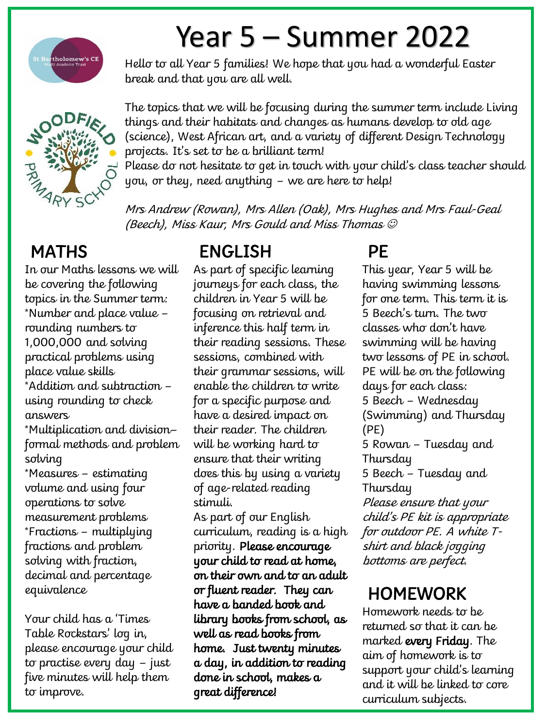

## Year 5 – Summer 2022

Hello to all Year 5 families! We hope that you had a wonderful Easter break and that you are all well.



The topics that we will be focusing during the summer term include Living things and their habitats and changes as humans develop to old age (science), West African art, and a variety of different Design Technology projects. It's set to be a brilliant term!

Please do not hesitate to get in touch with your child's class teacher should you, or they, need anything – we are here to help!

Mrs Andrew (Rowan), Mrs Allen (Oak), Mrs Hughes and Mrs Faul-Geal (Beech), Miss Kaur, Mrs Gould and Miss Thomas

## **MATHS**

In our Maths lessons we will be covering the following topics in the Summer term: \*Number and place value – rounding numbers to 1,000,000 and solving practical problems using place value skills \*Addition and subtraction – using rounding to check answers \*Multiplication and division– formal methods and problem solving \*Measures – estimating volume and using four operations to solve measurement problems \*Fractions – multiplying fractions and problem solving with fraction, decimal and percentage equivalence

Your child has a 'Times Table Rockstars' log in, please encourage your child to practise every day – just five minutes will help them to improve.

### ENGLISH

As part of specific learning journeys for each class, the children in Year 5 will be focusing on retrieval and inference this half term in their reading sessions. These sessions, combined with their grammar sessions, will enable the children to write for a specific purpose and have a desired impact on their reader. The children will be working hard to ensure that their writing does this by using a variety of age-related reading stimuli.

As part of our English curriculum, reading is a high priority. Please encourage your child to read at home, on their own and to an adult or fluent reader. They can have a banded book and library books from school, as well as read books from home. Just twenty minutes a day, in addition to reading done in school, makes a great difference!

### PE

This year, Year 5 will be having swimming lessons for one term. This term it is 5 Beech's turn. The two classes who don't have swimming will be having two lessons of PE in school. PE will be on the following days for each class: 5 Beech – Wednesday (Swimming) and Thursday (PE) 5 Rowan – Tuesday and Thursday 5 Beech – Tuesday and Thursday Please ensure that your child's PE kit is appropriate for outdoor PE. A white Tshirt and black jogging bottoms are perfect.

#### HOMEWORK

Homework needs to be returned so that it can be marked every Friday. The aim of homework is to support your child's learning and it will be linked to core curriculum subjects.